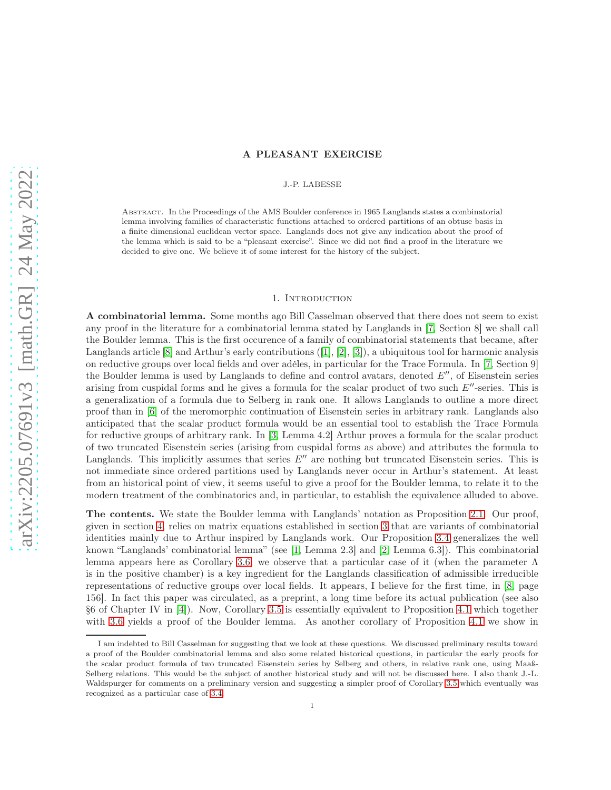# A PLEASANT EXERCISE

#### J.-P. LABESSE

ABSTRACT. In the Proceedings of the AMS Boulder conference in 1965 Langlands states a combinatorial lemma involving families of characteristic functions attached to ordered partitions of an obtuse basis in a finite dimensional euclidean vector space. Langlands does not give any indication about the proof of the lemma which is said to be a "pleasant exercise". Since we did not find a proof in the literature we decided to give one. We believe it of some interest for the history of the subject.

# 1. INTRODUCTION

A combinatorial lemma. Some months ago Bill Casselman observed that there does not seem to exist any proof in the literature for a combinatorial lemma stated by Langlands in [\[7,](#page-7-0) Section 8] we shall call the Boulder lemma. This is the first occurence of a family of combinatorial statements that became, after Langlands article [\[8\]](#page-7-1) and Arthur's early contributions ([\[1\]](#page-7-2), [\[2\]](#page-7-3), [\[3\]](#page-7-4)), a ubiquitous tool for harmonic analysis on reductive groups over local fields and over adèles, in particular for the Trace Formula. In [\[7,](#page-7-0) Section 9] the Boulder lemma is used by Langlands to define and control avatars, denoted  $E''$ , of Eisenstein series arising from cuspidal forms and he gives a formula for the scalar product of two such E′′-series. This is a generalization of a formula due to Selberg in rank one. It allows Langlands to outline a more direct proof than in [\[6\]](#page-7-5) of the meromorphic continuation of Eisenstein series in arbitrary rank. Langlands also anticipated that the scalar product formula would be an essential tool to establish the Trace Formula for reductive groups of arbitrary rank. In [\[3,](#page-7-4) Lemma 4.2] Arthur proves a formula for the scalar product of two truncated Eisenstein series (arising from cuspidal forms as above) and attributes the formula to Langlands. This implicitly assumes that series  $E''$  are nothing but truncated Eisenstein series. This is not immediate since ordered partitions used by Langlands never occur in Arthur's statement. At least from an historical point of view, it seems useful to give a proof for the Boulder lemma, to relate it to the modern treatment of the combinatorics and, in particular, to establish the equivalence alluded to above.

The contents. We state the Boulder lemma with Langlands' notation as Proposition [2.1.](#page-2-0) Our proof, given in section [4,](#page-5-0) relies on matrix equations established in section [3](#page-2-1) that are variants of combinatorial identities mainly due to Arthur inspired by Langlands work. Our Proposition [3.4](#page-4-0) generalizes the well known "Langlands' combinatorial lemma" (see [\[1,](#page-7-2) Lemma 2.3] and [\[2,](#page-7-3) Lemma 6.3]). This combinatorial lemma appears here as Corollary [3.6;](#page-5-1) we observe that a particular case of it (when the parameter  $\Lambda$ is in the positive chamber) is a key ingredient for the Langlands classification of admissible irreducible representations of reductive groups over local fields. It appears, I believe for the first time, in [\[8,](#page-7-1) page 156]. In fact this paper was circulated, as a preprint, a long time before its actual publication (see also §6 of Chapter IV in [\[4\]](#page-7-6)). Now, Corollary [3.5](#page-5-2) is essentially equivalent to Proposition [4.1](#page-5-3) which together with [3.6](#page-5-1) yields a proof of the Boulder lemma. As another corollary of Proposition [4.1](#page-5-3) we show in

I am indebted to Bill Casselman for suggesting that we look at these questions. We discussed preliminary results toward a proof of the Boulder combinatorial lemma and also some related historical questions, in particular the early proofs for the scalar product formula of two truncated Eisenstein series by Selberg and others, in relative rank one, using Maaß-Selberg relations. This would be the subject of another historical study and will not be discussed here. I also thank J.-L. Waldspurger for comments on a preliminary version and suggesting a simpler proof of Corollary [3.5](#page-5-2) which eventually was recognized as a particular case of [3.4.](#page-4-0)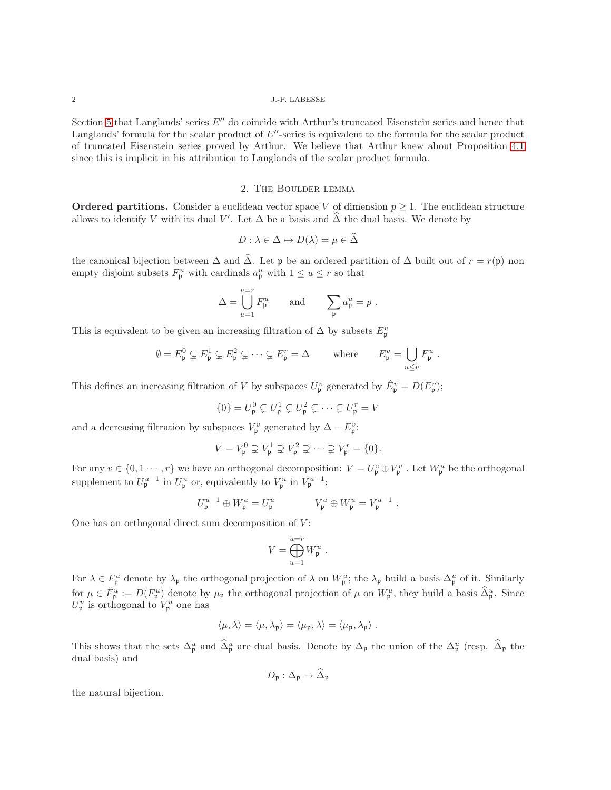Section [5](#page-6-0) that Langlands' series  $E''$  do coincide with Arthur's truncated Eisenstein series and hence that Langlands' formula for the scalar product of  $E''$ -series is equivalent to the formula for the scalar product of truncated Eisenstein series proved by Arthur. We believe that Arthur knew about Proposition [4.1](#page-5-3) since this is implicit in his attribution to Langlands of the scalar product formula.

## 2. The Boulder lemma

**Ordered partitions.** Consider a euclidean vector space V of dimension  $p \geq 1$ . The euclidean structure allows to identify V with its dual V'. Let  $\Delta$  be a basis and  $\widehat{\Delta}$  the dual basis. We denote by

$$
D: \lambda \in \Delta \mapsto D(\lambda) = \mu \in \widehat{\Delta}
$$

the canonical bijection between  $\Delta$  and  $\Delta$ . Let p be an ordered partition of  $\Delta$  built out of  $r = r(\mathfrak{p})$  non empty disjoint subsets  $F_{\mathfrak{p}}^u$  with cardinals  $a_{\mathfrak{p}}^u$  with  $1 \le u \le r$  so that

$$
\Delta = \bigcup_{u=1}^{u=r} F_{\mathfrak{p}}^u \quad \text{and} \quad \sum_{\mathfrak{p}} a_{\mathfrak{p}}^u = p .
$$

This is equivalent to be given an increasing filtration of  $\Delta$  by subsets  $E_{\mathfrak{p}}^{v}$ 

$$
\emptyset = E_{\mathfrak{p}}^{0} \subsetneq E_{\mathfrak{p}}^{1} \subsetneq E_{\mathfrak{p}}^{2} \subsetneq \cdots \subsetneq E_{\mathfrak{p}}^{r} = \Delta \quad \text{where} \quad E_{\mathfrak{p}}^{v} = \bigcup_{u \le v} F_{\mathfrak{p}}^{u}.
$$

This defines an increasing filtration of V by subspaces  $U^v_{\mathfrak{p}}$  generated by  $\hat{E}^v_{\mathfrak{p}} = D(E^v_{\mathfrak{p}});$ 

 $\{0\} = U_{\mathfrak{p}}^0 \subsetneq U_{\mathfrak{p}}^1 \subsetneq U_{\mathfrak{p}}^2 \subsetneq \cdots \subsetneq U_{\mathfrak{p}}^r = V$ 

and a decreasing filtration by subspaces  $V_{\mathfrak{p}}^v$  generated by  $\Delta - E_{\mathfrak{p}}^v$ :

$$
V = V_{\mathfrak{p}}^0 \supsetneq V_{\mathfrak{p}}^1 \supsetneq V_{\mathfrak{p}}^2 \supsetneq \cdots \supsetneq V_{\mathfrak{p}}^r = \{0\}.
$$

For any  $v \in \{0, 1 \cdots, r\}$  we have an orthogonal decomposition:  $V = U^v_{\mathfrak{p}} \oplus V^v_{\mathfrak{p}}$ . Let  $W^u_{\mathfrak{p}}$  be the orthogonal supplement to  $U_{\mathfrak{p}}^{u-1}$  in  $U_{\mathfrak{p}}^u$  or, equivalently to  $V_{\mathfrak{p}}^u$  in  $V_{\mathfrak{p}}^{u-1}$ :

$$
U_{\mathfrak{p}}^{u-1}\oplus W_{\mathfrak{p}}^u=U_{\mathfrak{p}}^u\qquad\qquad V_{\mathfrak{p}}^u\oplus W_{\mathfrak{p}}^u=V_{\mathfrak{p}}^{u-1}\ .
$$

One has an orthogonal direct sum decomposition of  $V$ :

$$
V = \bigoplus_{u=1}^{u=r} W_{\mathfrak{p}}^u.
$$

For  $\lambda \in F^u_{\mathfrak{p}}$  denote by  $\lambda_{\mathfrak{p}}$  the orthogonal projection of  $\lambda$  on  $W^u_{\mathfrak{p}}$ ; the  $\lambda_{\mathfrak{p}}$  build a basis  $\Delta^u_{\mathfrak{p}}$  of it. Similarly for  $\mu \in \hat{F}_{\mathfrak{p}}^u := D(F_{\mathfrak{p}}^u)$  denote by  $\mu_{\mathfrak{p}}$  the orthogonal projection of  $\mu$  on  $W_{\mathfrak{p}}^u$ , they build a basis  $\widehat{\Delta}_{\mathfrak{p}}^u$ . Since  $U^u_{\mathfrak{p}}$  is orthogonal to  $V^u_{\mathfrak{p}}$  one has

$$
\langle \mu, \lambda \rangle = \langle \mu, \lambda_{\mathfrak{p}} \rangle = \langle \mu_{\mathfrak{p}}, \lambda \rangle = \langle \mu_{\mathfrak{p}}, \lambda_{\mathfrak{p}} \rangle.
$$

This shows that the sets  $\Delta_{\mathfrak{p}}^u$  and  $\widehat{\Delta}_{\mathfrak{p}}^u$  are dual basis. Denote by  $\Delta_{\mathfrak{p}}$  the union of the  $\Delta_{\mathfrak{p}}^u$  (resp.  $\widehat{\Delta}_{\mathfrak{p}}$  the dual basis) and

$$
D_{\mathfrak{p}}: \Delta_{\mathfrak{p}} \to \overline{\Delta}_{\mathfrak{p}}
$$

the natural bijection.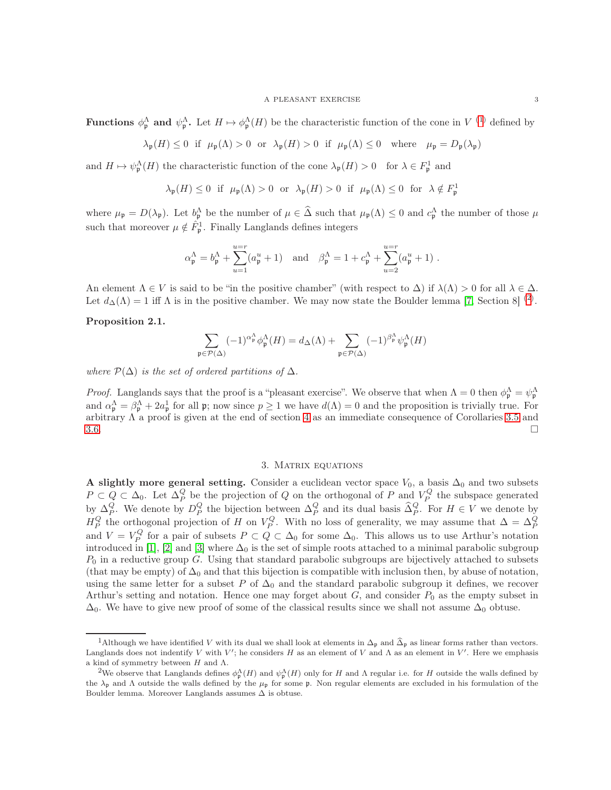**Functions**  $\phi_{\mathfrak{p}}^{\Lambda}$  and  $\psi_{\mathfrak{p}}^{\Lambda}$ . Let  $H \mapsto \phi_{\mathfrak{p}}^{\Lambda}(H)$  be the characteristic function of the cone in  $V^{(1)}$  $V^{(1)}$  $V^{(1)}$  defined by

$$
\lambda_{\mathfrak{p}}(H) \le 0 \quad \text{if} \quad \mu_{\mathfrak{p}}(\Lambda) > 0 \quad \text{or} \quad \lambda_{\mathfrak{p}}(H) > 0 \quad \text{if} \quad \mu_{\mathfrak{p}}(\Lambda) \le 0 \quad \text{where} \quad \mu_{\mathfrak{p}} = D_{\mathfrak{p}}(\lambda_{\mathfrak{p}})
$$

and  $H \mapsto \psi_{\mathfrak{p}}^{\Lambda}(H)$  the characteristic function of the cone  $\lambda_{\mathfrak{p}}(H) > 0$  for  $\lambda \in F_{\mathfrak{p}}^1$  and

$$
\lambda_{\mathfrak{p}}(H)\leq 0\;\;\text{if}\;\;\mu_{\mathfrak{p}}(\Lambda)>0\;\;\text{or}\;\;\lambda_{\mathfrak{p}}(H)>0\;\;\text{if}\;\;\mu_{\mathfrak{p}}(\Lambda)\leq 0\;\;\text{for}\;\;\lambda\notin F^1_{\mathfrak{p}}
$$

where  $\mu_{\mathfrak{p}} = D(\lambda_{\mathfrak{p}})$ . Let  $b_{\mathfrak{p}}^{\Lambda}$  be the number of  $\mu \in \widehat{\Delta}$  such that  $\mu_{\mathfrak{p}}(\Lambda) \leq 0$  and  $c_{\mathfrak{p}}^{\Lambda}$  the number of those  $\mu$ such that moreover  $\mu \notin \hat{F}^1_{\mathfrak{p}}$ . Finally Langlands defines integers

$$
\alpha_{\mathfrak{p}}^{\Lambda}=b_{\mathfrak{p}}^{\Lambda}+\sum_{u=1}^{u=r}(a_{\mathfrak{p}}^{u}+1) \quad \text{and} \quad \beta_{\mathfrak{p}}^{\Lambda}=1+c_{\mathfrak{p}}^{\Lambda}+\sum_{u=2}^{u=r}(a_{\mathfrak{p}}^{u}+1)\ .
$$

An element  $\Lambda \in V$  is said to be "in the positive chamber" (with respect to  $\Delta$ ) if  $\lambda(\Lambda) > 0$  for all  $\lambda \in \Delta$ . Let  $d_{\Delta}(\Lambda) = 1$  iff  $\Lambda$  is in the positive chamber. We may now state the Boulder lemma [\[7,](#page-7-0) Section 8]<sup>([2](#page-2-3))</sup>.

## <span id="page-2-0"></span>Proposition 2.1.

$$
\sum_{\mathfrak{p}\in \mathcal{P}(\Delta)} (-1)^{\alpha_{\mathfrak{p}}^{\Lambda}}\phi_{\mathfrak{p}}^{\Lambda}(H)=d_{\Delta}(\Lambda)+\sum_{\mathfrak{p}\in \mathcal{P}(\Delta)} (-1)^{\beta_{\mathfrak{p}}^{\Lambda}}\psi_{\mathfrak{p}}^{\Lambda}(H)
$$

where  $\mathcal{P}(\Delta)$  is the set of ordered partitions of  $\Delta$ .

*Proof.* Langlands says that the proof is a "pleasant exercise". We observe that when  $\Lambda = 0$  then  $\phi_{\mathfrak{p}}^{\Lambda} = \psi_{\mathfrak{p}}^{\Lambda}$ and  $\alpha_{\mathfrak{p}}^{\Lambda} = \beta_{\mathfrak{p}}^{\Lambda} + 2a_{\mathfrak{p}}^{\Lambda}$  for all  $\mathfrak{p}$ ; now since  $p \geq 1$  we have  $d(\Lambda) = 0$  and the proposition is trivially true. For arbitrary  $\Lambda$  a proof is given at the end of section [4](#page-5-0) as an immediate consequence of Corollaries [3.5](#page-5-2) and  $3.6.$ 

#### 3. Matrix equations

<span id="page-2-1"></span>A slightly more general setting. Consider a euclidean vector space  $V_0$ , a basis  $\Delta_0$  and two subsets  $P \subset Q \subset \Delta_0$ . Let  $\Delta_P^Q$  be the projection of Q on the orthogonal of P and  $V_P^Q$  the subspace generated by  $\Delta_P^Q$ . We denote by  $D_P^Q$  the bijection between  $\Delta_P^Q$  and its dual basis  $\widehat{\Delta}_P^Q$ . For  $H \in V$  we denote by  $H_P^Q$  the orthogonal projection of H on  $V_P^Q$ . With no loss of generality, we may assume that  $\Delta = \Delta_P^Q$ and  $V = V_P^Q$  for a pair of subsets  $P \subset Q \subset \Delta_0$  for some  $\Delta_0$ . This allows us to use Arthur's notation introduced in [\[1\]](#page-7-2), [\[2\]](#page-7-3) and [\[3\]](#page-7-4) where  $\Delta_0$  is the set of simple roots attached to a minimal parabolic subgroup  $P_0$  in a reductive group G. Using that standard parabolic subgroups are bijectively attached to subsets (that may be empty) of  $\Delta_0$  and that this bijection is compatible with inclusion then, by abuse of notation, using the same letter for a subset P of  $\Delta_0$  and the standard parabolic subgroup it defines, we recover Arthur's setting and notation. Hence one may forget about  $G$ , and consider  $P_0$  as the empty subset in  $\Delta_0$ . We have to give new proof of some of the classical results since we shall not assume  $\Delta_0$  obtuse.

<span id="page-2-2"></span><sup>&</sup>lt;sup>1</sup>Although we have identified V with its dual we shall look at elements in  $\Delta_p$  and  $\hat{\Delta}_p$  as linear forms rather than vectors. Langlands does not indentify V with V'; he considers H as an element of V and  $\Lambda$  as an element in V'. Here we emphasis a kind of symmetry between  $H$  and  $Λ$ .

<span id="page-2-3"></span><sup>&</sup>lt;sup>2</sup>We observe that Langlands defines  $\phi_p^{\Lambda}(H)$  and  $\psi_p^{\Lambda}(H)$  only for H and  $\Lambda$  regular i.e. for H outside the walls defined by the  $\lambda_p$  and  $\Lambda$  outside the walls defined by the  $\mu_p$  for some p. Non regular elements are excluded in his formulation of the Boulder lemma. Moreover Langlands assumes  $\Delta$  is obtuse.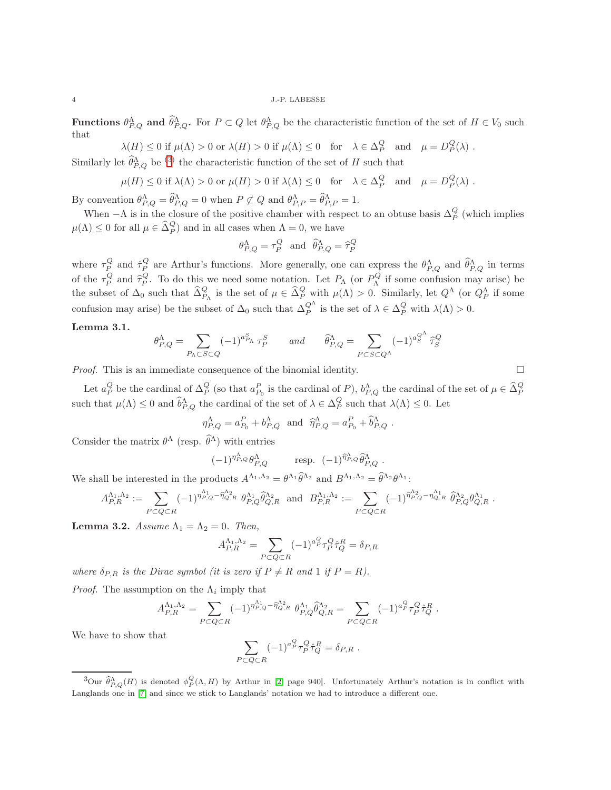#### 4 J.-P. LABESSE

Functions  $\theta_{P,Q}^{\Lambda}$  and  $\hat{\theta}_{P,Q}^{\Lambda}$ . For  $P \subset Q$  let  $\theta_{P,Q}^{\Lambda}$  be the characteristic function of the set of  $H \in V_0$  such that

 $\lambda(H) \leq 0$  if  $\mu(\Lambda) > 0$  or  $\lambda(H) > 0$  if  $\mu(\Lambda) \leq 0$  for  $\lambda \in \Delta_P^Q$  and  $\mu = D_P^Q(\lambda)$ .

Similarly let  $\widehat{\theta}_{P,Q}^{\Lambda}$  be <sup>([3](#page-3-0))</sup> the characteristic function of the set of H such that

$$
\mu(H) \le 0 \text{ if } \lambda(\Lambda) > 0 \text{ or } \mu(H) > 0 \text{ if } \lambda(\Lambda) \le 0 \quad \text{for} \quad \lambda \in \Delta_P^Q \quad \text{and} \quad \mu = D_P^Q(\lambda) \; .
$$

By convention  $\theta_{P,Q}^{\Lambda} = \hat{\theta}_{P,Q}^{\Lambda} = 0$  when  $P \not\subset Q$  and  $\theta_{P,P}^{\Lambda} = \hat{\theta}_{P,P}^{\Lambda} = 1$ .

When  $-\Lambda$  is in the closure of the positive chamber with respect to an obtuse basis  $\Delta_P^Q$  (which implies  $\mu(\Lambda) \leq 0$  for all  $\mu \in \widehat{\Delta}_P^Q$  and in all cases when  $\Lambda = 0$ , we have

$$
\theta_{P,Q}^{\Lambda}=\tau_{P}^{Q} \ \ \text{and} \ \ \widehat{\theta}_{P,Q}^{\Lambda}=\widehat{\tau}_{P}^{Q}
$$

where  $\tau_P^Q$  and  $\hat{\tau}_P^Q$  are Arthur's functions. More generally, one can express the  $\theta_{P,Q}^{\Lambda}$  and  $\hat{\theta}_{P,Q}^{\Lambda}$  in terms of the  $\tau_P^Q$  and  $\hat{\tau}_P^Q$ . To do this we need some notation. Let  $P_\Lambda$  (or  $P_\Lambda^Q$  if some confusion may arise) be the subset of  $\Delta_0$  such that  $\widehat{\Delta}_{P_\Lambda}^Q$  is the set of  $\mu \in \widehat{\Delta}_P^Q$  with  $\mu(\Lambda) > 0$ . Similarly, let  $Q^\Lambda$  (or  $Q_P^\Lambda$  if some confusion may arise) be the subset of  $\Delta_0$  such that  $\Delta_P^{Q^{\Lambda}}$  is the set of  $\lambda \in \Delta_P^Q$  with  $\lambda(\Lambda) > 0$ .

# <span id="page-3-1"></span>Lemma 3.1.

$$
\theta_{P,Q}^{\Lambda} = \sum_{P_{\Lambda} \subset S \subset Q} (-1)^{a_{P_{\Lambda}}^S} \tau_P^S \qquad and \qquad \widehat{\theta}_{P,Q}^{\Lambda} = \sum_{P \subset S \subset Q^{\Lambda}} (-1)^{a_S^{Q^{\Lambda}}} \widehat{\tau}_S^Q
$$

*Proof.* This is an immediate consequence of the binomial identity.  $\Box$ 

Let  $a_P^Q$  be the cardinal of  $\Delta_P^Q$  (so that  $a_{P_0}^P$  is the cardinal of P),  $b_{P,Q}^{\Lambda}$  the cardinal of the set of  $\mu \in \hat{\Delta}_P^Q$ such that  $\mu(\Lambda) \leq 0$  and  $\widehat{b}_{P,Q}^{\Lambda}$  the cardinal of the set of  $\lambda \in \Delta_P^Q$  such that  $\lambda(\Lambda) \leq 0$ . Let

$$
\eta_{P,Q}^{\Lambda} = a_{P_0}^P + b_{P,Q}^{\Lambda} \text{ and } \widehat{\eta}_{P,Q}^{\Lambda} = a_{P_0}^P + \widehat{b}_{P,Q}^{\Lambda} .
$$

Consider the matrix  $\theta^{\Lambda}$  (resp.  $\hat{\theta}^{\Lambda}$ ) with entries

$$
(-1)^{\eta_{P,Q}^{\Lambda}} \theta_{P,Q}^{\Lambda} \qquad \text{resp. } (-1)^{\widehat{\eta}_{P,Q}^{\Lambda}} \widehat{\theta}_{P,Q}^{\Lambda} .
$$

We shall be interested in the products  $A^{\Lambda_1,\Lambda_2} = \theta^{\Lambda_1} \hat{\theta}^{\Lambda_2}$  and  $B^{\Lambda_1,\Lambda_2} = \hat{\theta}^{\Lambda_2} \theta^{\Lambda_1}$ :

$$
A_{P,R}^{\Lambda_1,\Lambda_2}:=\sum_{P\subset Q\subset R}(-1)^{\eta_{P,Q}^{\Lambda_1}-\widehat{\eta}_{Q,R}^{\Lambda_2}}\;\theta_{P,Q}^{\Lambda_1}\widehat{\theta}_{Q,R}^{\Lambda_2}\;\text{ and }\;B_{P,R}^{\Lambda_1,\Lambda_2}:=\sum_{P\subset Q\subset R}(-1)^{\widehat{\eta}_{P,Q}^{\Lambda_2}-\eta_{Q,R}^{\Lambda_1}}\;\widehat{\theta}_{P,Q}^{\Lambda_2}\theta_{Q,R}^{\Lambda_1}\;.
$$

<span id="page-3-2"></span>**Lemma 3.2.** Assume  $\Lambda_1 = \Lambda_2 = 0$ . Then,

$$
A_{P,R}^{\Lambda_1,\Lambda_2} = \sum_{P \subset Q \subset R} (-1)^{a_P^Q} \tau_P^Q \hat{\tau}_Q^R = \delta_{P,R}
$$

where  $\delta_{P,R}$  is the Dirac symbol (it is zero if  $P \neq R$  and 1 if  $P = R$ ).

*Proof.* The assumption on the  $\Lambda_i$  imply that

$$
A_{P,R}^{\Lambda_1,\Lambda_2} = \sum_{P \subset Q \subset R} (-1)^{\eta_{P,Q}^{\Lambda_1}} \eta_{Q,R}^{\Lambda_2} \theta_{P,Q}^{\Lambda_1} \hat{\theta}_{Q,R}^{\Lambda_2} = \sum_{P \subset Q \subset R} (-1)^{a_P^Q} \tau_P^Q \hat{\tau}_Q^R.
$$

We have to show that

$$
\sum_{P \subset Q \subset R} (-1)^{a_P^Q} \tau_P^Q \hat{\tau}_Q^R = \delta_{P,R} .
$$

<span id="page-3-0"></span><sup>3</sup>Our  $\widehat{\theta}_{P,Q}^{\Lambda}(H)$  is denoted  $\phi_P^Q(\Lambda, H)$  by Arthur in [\[2,](#page-7-3) page 940]. Unfortunately Arthur's notation is in conflict with Langlands one in [\[7\]](#page-7-0) and since we stick to Langlands' notation we had to introduce a different one.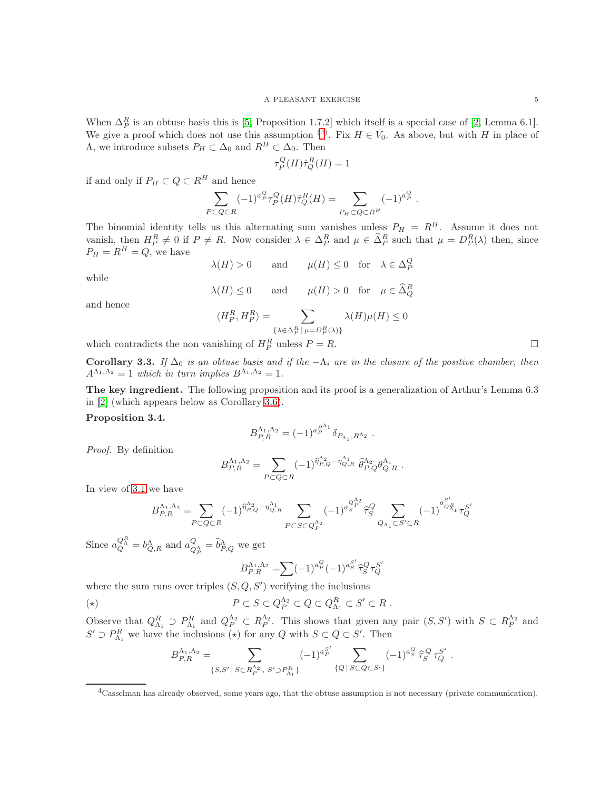When  $\Delta_P^R$  is an obtuse basis this is [\[5,](#page-7-7) Proposition 1.7.2] which itself is a special case of [\[2,](#page-7-3) Lemma 6.1]. We give a proof which does not use this assumption <sup>([4](#page-4-1))</sup>. Fix  $H \in V_0$ . As above, but with H in place of  $Λ$ , we introduce subsets  $P_H \subset ∆_0$  and  $R^H \subset ∆_0$ . Then

$$
\tau_P^Q(H)\hat{\tau}_Q^R(H) = 1
$$

if and only if  $P_H \subset Q \subset R^H$  and hence

$$
\sum_{P \subset Q \subset R} (-1)^{a_P^Q} \tau_P^Q(H) \hat{\tau}_Q^R(H) = \sum_{P_H \subset Q \subset R^H} (-1)^{a_P^Q}.
$$

The binomial identity tells us this alternating sum vanishes unless  $P_H = R^H$ . Assume it does not vanish, then  $H_P^R \neq 0$  if  $P \neq R$ . Now consider  $\lambda \in \Delta_P^R$  and  $\mu \in \widehat{\Delta}_P^R$  such that  $\mu = D_P^R(\lambda)$  then, since  $P_H = R^H = Q$ , we have  $Q(H) > 0$  and  $Q(H) \leq 0$  for  $Q \leq 0$ 

$$
\lambda(H) > 0
$$
 and  $\mu(H) \le 0$  for  $\lambda \in \Delta_P^Q$ 

while

$$
\lambda(H) \le 0
$$
 and  $\mu(H) > 0$  for  $\mu \in \widehat{\Delta}_Q^R$ 

and hence

$$
\langle H_P^R, H_P^R \rangle = \sum_{\{\lambda \in \Delta_P^R \mid \mu = D_P^R(\lambda)\}} \lambda(H)\mu(H) \le 0
$$

which contradicts the non vanishing of  $H_P^R$  unless  $P = R$ .

Corollary 3.3. If  $\Delta_0$  is an obtuse basis and if the  $-\Lambda_i$  are in the closure of the positive chamber, then  $A^{\Lambda_1,\Lambda_2}=1$  which in turn implies  $B^{\Lambda_1,\Lambda_2}=1$ .

The key ingredient. The following proposition and its proof is a generalization of Arthur's Lemma 6.3 in [\[2\]](#page-7-3) (which appears below as Corollary [3.6\)](#page-5-1).

# <span id="page-4-0"></span>Proposition 3.4.

$$
B_{P,R}^{\Lambda_1,\Lambda_2} = (-1)^{a_P^{P^{\Lambda_1}}} \delta_{P_{\Lambda_1},R^{\Lambda_2}}.
$$

Proof. By definition

$$
B_{P,R}^{\Lambda_1,\Lambda_2} = \sum_{P \subset Q \subset R} (-1)^{\widehat{\eta}_{P,Q}^{\Lambda_2} - \eta_{Q,R}^{\Lambda_1}} \widehat{\theta}_{P,Q}^{\Lambda_2} \theta_{Q,R}^{\Lambda_1}.
$$

In view of [3.1](#page-3-1) we have

$$
B_{P,R}^{\Lambda_1,\Lambda_2}=\!\!\sum_{P\subset Q\subset R}(-1)^{\widehat{\eta}^{\Lambda_2}_{P,Q}-\eta^{\Lambda_1}_{Q,R}}\sum_{P\subset S\subset Q_P^{\Lambda_2}}(-1)^{a_S^{Q_{\Lambda_2}^{\Lambda_2}}}\widehat{\tau}^Q_S\sum_{Q_{\Lambda_1}\subset S'\subset R}(-1)^{a_{Q_{\Lambda_1}^S}^{S'}}\tau^{S'}_Q
$$

Since  $a_Q^{Q^R_{\Lambda}} = b_{Q,R}^{\Lambda}$  and  $a_{Q_P^{\Lambda}}^Q = \hat{b}_{P,Q}^{\Lambda}$  we get

$$
B_{P,R}^{\Lambda_1,\Lambda_2} = \sum (-1)^{a_P^Q} (-1)^{a_S^{S'}} \hat{\tau}_S^Q \tau_Q^{S'}
$$

where the sum runs over triples  $(S, Q, S')$  verifying the inclusions

$$
P \subset S \subset Q_P^{\Lambda_2} \subset Q \subset Q_{\Lambda_1}^R \subset S' \subset R.
$$

Observe that  $Q_{\Lambda_1}^R \supset P_{\Lambda_1}^R$  and  $Q_P^{\Lambda_2} \subset R_P^{\Lambda_2}$ . This shows that given any pair  $(S, S')$  with  $S \subset R_P^{\Lambda_2}$  and  $S' \supset P_{\Lambda_1}^R$  we have the inclusions  $(\star)$  for any  $Q$  with  $S \subset Q \subset S'$ . Then

$$
B_{P,R}^{\Lambda_1,\Lambda_2} = \sum_{\{S,S'\,|\,S\subset R_P^{\Lambda_2},\ S'\supset P_{\Lambda_1}^R\}} (-1)^{a_P^{S'}} \sum_{\{Q\,|\,S\subset Q\subset S'\}} (-1)^{a_S^Q} \,\widehat{\tau}_S^Q \,\tau_Q^{S'}\;.
$$

<span id="page-4-1"></span><sup>4</sup>Casselman has already observed, some years ago, that the obtuse assumption is not necessary (private communication).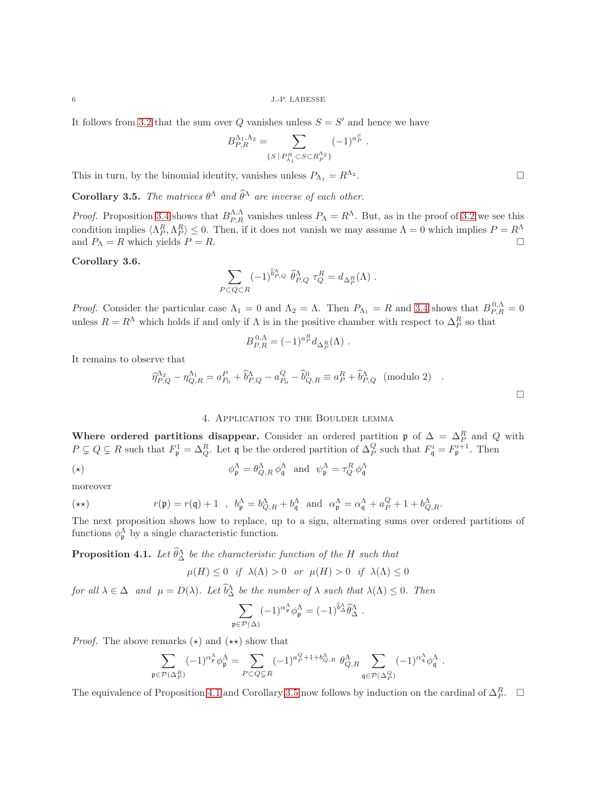6 J.-P. LABESSE

It follows from [3.2](#page-3-2) that the sum over  $Q$  vanishes unless  $S = S'$  and hence we have

$$
B_{P,R}^{\Lambda_1,\Lambda_2} = \sum_{\{S \, | \, P_{\Lambda_1}^R \subset S \subset R_P^{\Lambda_2}\}} (-1)^{a_P^S}.
$$

This in turn, by the binomial identity, vanishes unless  $P_{\Lambda_1} = R^{\Lambda_2}$ .

<span id="page-5-2"></span>**Corollary 3.5.** The matrices  $\theta^{\Lambda}$  and  $\hat{\theta}^{\Lambda}$  are inverse of each other.

*Proof.* Proposition [3.4](#page-4-0) shows that  $B_{P,R}^{\Lambda,\Lambda}$  vanishes unless  $P_{\Lambda} = R^{\Lambda}$ . But, as in the proof of [3.2](#page-3-2) we see this condition implies  $\langle \Lambda_P^R, \Lambda_P^R \rangle \leq 0$ . Then, if it does not vanish we may assume  $\Lambda = 0$  which implies  $P = R^{\Lambda}$ and  $P_{\Lambda} = R$  which yields  $P = R$ .

## <span id="page-5-1"></span>Corollary 3.6.

$$
\sum_{P \subset Q \subset R} (-1)^{\widehat{b}^{\Lambda}_{P,Q}} \widehat{\theta}^{\Lambda}_{P,Q} \tau^R_Q = d_{\Delta^R_P}(\Lambda) .
$$

*Proof.* Consider the particular case  $\Lambda_1 = 0$  and  $\Lambda_2 = \Lambda$ . Then  $P_{\Lambda_1} = R$  and [3.4](#page-4-0) shows that  $B_{P,R}^{0,\Lambda} = 0$ unless  $R = R^{\Lambda}$  which holds if and only if  $\Lambda$  is in the positive chamber with respect to  $\Delta_P^R$  so that

$$
B_{P,R}^{0,\Lambda} = (-1)^{a_P^R} d_{\Delta_P^R}(\Lambda) .
$$

It remains to observe that

$$
\widehat{\eta}_{P,Q}^{\Lambda_2} - \eta_{Q,R}^{\Lambda_1} = a_{P_0}^P + \widehat{b}_{P,Q}^{\Lambda} - a_{P_0}^Q - \widehat{b}_{Q,R}^0 \equiv a_P^R + \widehat{b}_{P,Q}^{\Lambda} \pmod{2} .
$$

#### 4. Application to the Boulder lemma

<span id="page-5-0"></span>Where ordered partitions disappear. Consider an ordered partition  $\mathfrak{p}$  of  $\Delta = \Delta_P^R$  and Q with  $P \subsetneq Q \subsetneq R$  such that  $F_{\mathfrak{p}}^1 = \Delta_Q^R$ . Let q be the ordered partition of  $\Delta_P^Q$  such that  $F_{\mathfrak{q}}^i = F_{\mathfrak{p}}^{i+1}$ . Then

$$
(\star) \qquad \qquad \phi_{\mathfrak{p}}^{\Lambda} = \theta_{Q,R}^{\Lambda} \phi_{\mathfrak{q}}^{\Lambda} \text{ and } \psi_{\mathfrak{p}}^{\Lambda} = \tau_{Q}^{R} \phi_{\mathfrak{q}}^{\Lambda}
$$

moreover

$$
r(\mathfrak{p}) = r(\mathfrak{q}) + 1 \quad , \quad b_{\mathfrak{p}}^{\Lambda} = b_{Q,R}^{\Lambda} + b_{\mathfrak{q}}^{\Lambda} \quad \text{and} \quad \alpha_{\mathfrak{p}}^{\Lambda} = \alpha_{\mathfrak{q}}^{\Lambda} + a_{P}^{Q} + 1 + b_{Q,R}^{\Lambda}.
$$

The next proposition shows how to replace, up to a sign, alternating sums over ordered partitions of functions  $\phi_{\mathfrak{p}}^{\Lambda}$  by a single characteristic function.

<span id="page-5-3"></span>**Proposition 4.1.** Let  $\widehat{\theta}^{\Lambda}_{\Delta}$  be the characteristic function of the H such that

$$
\mu(H) \le 0 \quad \text{if} \quad \lambda(\Lambda) > 0 \quad \text{or} \quad \mu(H) > 0 \quad \text{if} \quad \lambda(\Lambda) \le 0
$$

for all  $\lambda \in \Delta$  and  $\mu = D(\lambda)$ . Let  $\widehat{b}^{\Lambda}_{\Delta}$  be the number of  $\lambda$  such that  $\lambda(\Lambda) \leq 0$ . Then

$$
\sum_{\mathfrak{p}\in \mathcal{P}(\Delta)} (-1)^{\alpha_{\mathfrak{p}}^{\Lambda}} \phi_{\mathfrak{p}}^{\Lambda} = (-1)^{\widehat{b}_{\Delta}^{\Lambda}} \widehat{\theta}_{\Delta}^{\Lambda} \ .
$$

*Proof.* The above remarks  $(\star)$  and  $(\star \star)$  show that

$$
\sum_{\mathfrak{p}\in\mathcal{P}(\Delta_P^R)} (-1)^{\alpha_{\mathfrak{p}}^{\Lambda}}\phi_{\mathfrak{p}}^{\Lambda}=\sum_{P\subset Q\subsetneq R} (-1)^{a_{P}^{Q}+1+b_{Q,R}^{\Lambda}}\;\theta_{Q,R}^{\Lambda}\sum_{\mathfrak{q}\in\mathcal{P}(\Delta_P^Q)} (-1)^{\alpha_{\mathfrak{q}}^{\Lambda}}\phi_{\mathfrak{q}}^{\Lambda}\;.
$$

The equivalence of Proposition [4.1](#page-5-3) and Corollary [3.5](#page-5-2) now follows by induction on the cardinal of  $\Delta_P^R$ .  $\Box$ 

.

 $\Box$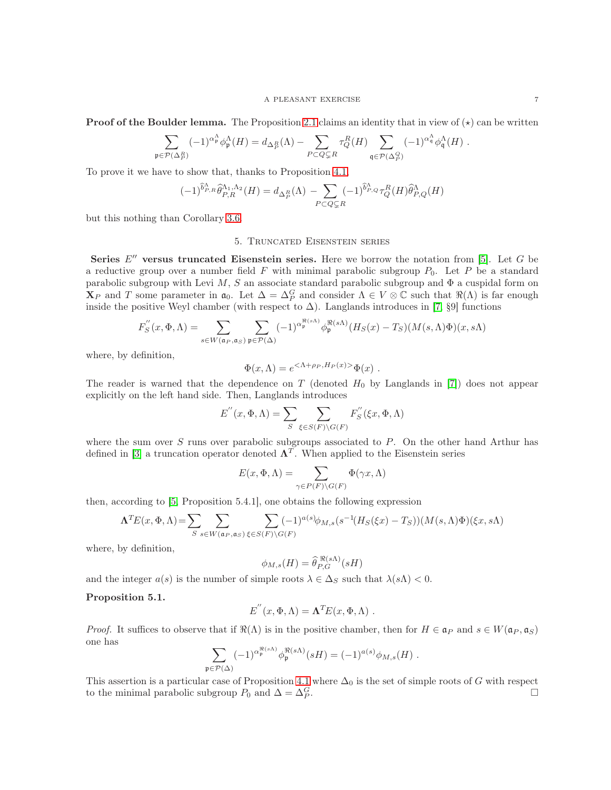**Proof of the Boulder lemma.** The Proposition [2.1](#page-2-0) claims an identity that in view of  $(\star)$  can be written

$$
\sum_{\mathfrak{p}\in\mathcal{P}(\Delta_P^R)} (-1)^{\alpha_{\mathfrak{p}}^{\Lambda}}\phi_{\mathfrak{p}}^{\Lambda}(H)=d_{\Delta_P^R}(\Lambda)-\sum_{P\subset Q\subsetneq R}\tau_Q^R(H)\sum_{\mathfrak{q}\in\mathcal{P}(\Delta_P^Q)} (-1)^{\alpha_{\mathfrak{q}}^{\Lambda}}\phi_{\mathfrak{q}}^{\Lambda}(H)\ .
$$

To prove it we have to show that, thanks to Proposition [4.1,](#page-5-3)

$$
(-1)^{\widehat{b}^{\Lambda}_{P,R}} \widehat{\theta}^{\Lambda_1,\Lambda_2}_{P,R}(H) = d_{\Delta^R_P}(\Lambda) - \sum_{P \subset Q \subsetneq R} (-1)^{\widehat{b}^{\Lambda}_{P,Q}} \tau_Q^R(H) \widehat{\theta}^{\Lambda}_{P,Q}(H)
$$

<span id="page-6-0"></span>but this nothing than Corollary [3.6.](#page-5-1)

# 5. Truncated Eisenstein series

Series  $E''$  versus truncated Eisenstein series. Here we borrow the notation from [\[5\]](#page-7-7). Let G be a reductive group over a number field F with minimal parabolic subgroup  $P_0$ . Let P be a standard parabolic subgroup with Levi M, S an associate standard parabolic subgroup and  $\Phi$  a cuspidal form on  $\mathbf{X}_P$  and T some parameter in  $\mathfrak{a}_0$ . Let  $\Delta = \Delta_P^G$  and consider  $\Lambda \in V \otimes \mathbb{C}$  such that  $\Re(\Lambda)$  is far enough inside the positive Weyl chamber (with respect to  $\Delta$ ). Langlands introduces in [\[7,](#page-7-0) §9] functions

$$
F''_S(x, \Phi, \Lambda) = \sum_{s \in W(\mathfrak{a}_P, \mathfrak{a}_S)} \sum_{\mathfrak{p} \in \mathcal{P}(\Delta)} (-1)^{\alpha_{\mathfrak{p}}^{\Re(s\Lambda)}} \phi_{\mathfrak{p}}^{\Re(s\Lambda)}(H_S(x) - T_S)(M(s, \Lambda)\Phi)(x, s\Lambda)
$$

where, by definition,

$$
\Phi(x,\Lambda) = e^{<\Lambda + \rho_P, H_P(x)>}\Phi(x) .
$$

The reader is warned that the dependence on T (denoted  $H_0$  by Langlands in [\[7\]](#page-7-0)) does not appear explicitly on the left hand side. Then, Langlands introduces

$$
E^{''}(x, \Phi, \Lambda) = \sum_{S} \sum_{\xi \in S(F) \backslash G(F)} F^{''}_{S}(\xi x, \Phi, \Lambda)
$$

where the sum over  $S$  runs over parabolic subgroups associated to  $P$ . On the other hand Arthur has defined in [\[3\]](#page-7-4) a truncation operator denoted  $\Lambda^T$ . When applied to the Eisenstein series

$$
E(x, \Phi, \Lambda) = \sum_{\gamma \in P(F) \backslash G(F)} \Phi(\gamma x, \Lambda)
$$

then, according to [\[5,](#page-7-7) Proposition 5.4.1], one obtains the following expression

$$
\Lambda^T E(x, \Phi, \Lambda) = \sum_{S} \sum_{s \in W(\mathfrak{a}_P, \mathfrak{a}_S)} \sum_{\xi \in S(F) \backslash G(F)} (-1)^{a(s)} \phi_{M,s}(s^{-1}(H_S(\xi x) - T_S))(M(s, \Lambda)\Phi)(\xi x, s\Lambda)
$$

where, by definition,

$$
\phi_{M,s}(H) = \widehat{\theta}_{P,G}^{\Re(s\Lambda)}(sH)
$$

and the integer  $a(s)$  is the number of simple roots  $\lambda \in \Delta_S$  such that  $\lambda(s\Lambda) < 0$ .

## <span id="page-6-1"></span>Proposition 5.1.

$$
E^{''}(x, \Phi, \Lambda) = \Lambda^{T} E(x, \Phi, \Lambda) .
$$

*Proof.* It suffices to observe that if  $\Re(\Lambda)$  is in the positive chamber, then for  $H \in \mathfrak{a}_P$  and  $s \in W(\mathfrak{a}_P, \mathfrak{a}_S)$ one has

$$
\sum_{\mathfrak{p}\in \mathcal{P}(\Delta)} (-1)^{\alpha_{\mathfrak{p}}^{\mathfrak{R}(s\Lambda)}} \phi_{\mathfrak{p}}^{\mathfrak{R}(s\Lambda)}(sH) = (-1)^{a(s)} \phi_{M,s}(H) .
$$

This assertion is a particular case of Proposition [4.1](#page-5-3) where  $\Delta_0$  is the set of simple roots of G with respect to the minimal parabolic subgroup  $P_0$  and  $\Delta = \Delta_P^G$ . В последните поставите на селото на селото на селото на селото на селото на селото на селото на селото на се<br>Селото на селото на селото на селото на селото на селото на селото на селото на селото на селото на селото на